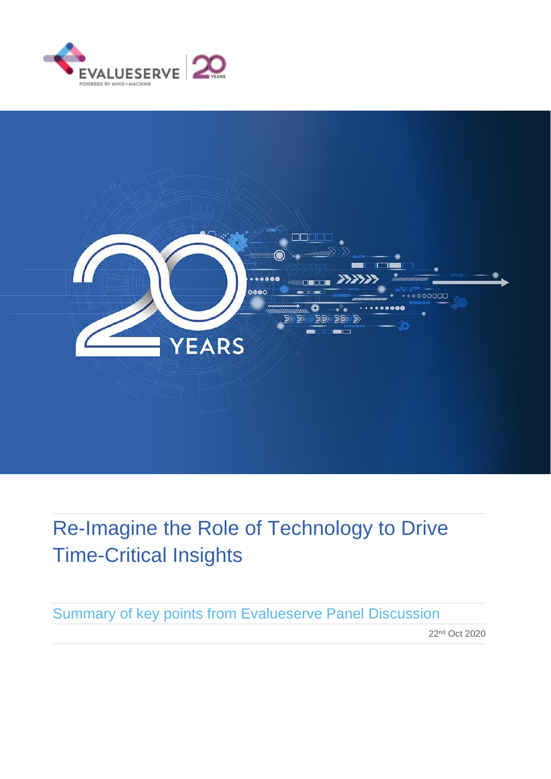



# Re-Imagine the Role of Technology to Drive Time-Critical Insights

Summary of key points from Evalueserve Panel Discussion

22nd Oct 2020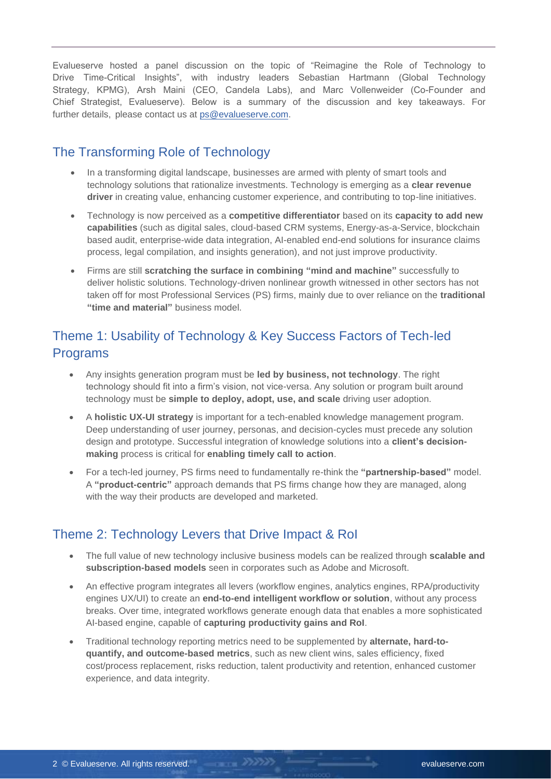Evalueserve hosted a panel discussion on the topic of "Reimagine the Role of Technology to Drive Time-Critical Insights", with industry leaders Sebastian Hartmann (Global Technology Strategy, KPMG), Arsh Maini (CEO, Candela Labs), and Marc Vollenweider (Co-Founder and Chief Strategist, Evalueserve). Below is a summary of the dis[cussion and key take](mailto:ps@evalueserve.com)aways. For further details, please contact us at ps@evalueserve.com.

### The Transforming Role of Technology

- In a transforming digital landscape, businesses are armed with plenty of smart tools and technology solutions that rationalize investments. Technology is emerging as a **clear revenue driver** in creating value, enhancing customer experience, and contributing to top-line initiatives.
- Technology is now perceived as a **competitive differentiator** based on its **capacity to add new capabilities** (such as digital sales, cloud-based CRM systems, Energy-as-a-Service, blockchain based audit, enterprise-wide data integration, AI-enabled end-end solutions for insurance claims process, legal compilation, and insights generation), and not just improve productivity.
- Firms are still **scratching the surface in combining "mind and machine"** successfully to deliver holistic solutions. Technology-driven nonlinear growth witnessed in other sectors has not taken off for most Professional Services (PS) firms, mainly due to over reliance on the **traditional "time and material"** business model.

## Theme 1: Usability of Technology & Key Success Factors of Tech-led Programs

- Any insights generation program must be **led by business, not technology**. The right technology should fit into a firm's vision, not vice-versa. Any solution or program built around technology must be **simple to deploy, adopt, use, and scale** driving user adoption.
- A **holistic UX-UI strategy** is important for a tech-enabled knowledge management program. Deep understanding of user journey, personas, and decision-cycles must precede any solution design and prototype. Successful integration of knowledge solutions into a **client's decisionmaking** process is critical for **enabling timely call to action**.
- For a tech-led journey, PS firms need to fundamentally re-think the **"partnership-based"** model. A **"product-centric"** approach demands that PS firms change how they are managed, along with the way their products are developed and marketed.

### Theme 2: Technology Levers that Drive Impact & RoI

- The full value of new technology inclusive business models can be realized through **scalable and subscription-based models** seen in corporates such as Adobe and Microsoft.
- An effective program integrates all levers (workflow engines, analytics engines, RPA/productivity engines UX/UI) to create an **end-to-end intelligent workflow or solution**, without any process breaks. Over time, integrated workflows generate enough data that enables a more sophisticated AI-based engine, capable of **capturing productivity gains and RoI**.
- Traditional technology reporting metrics need to be supplemented by **alternate, hard-toquantify, and outcome-based metrics**, such as new client wins, sales efficiency, fixed cost/process replacement, risks reduction, talent productivity and retention, enhanced customer experience, and data integrity.